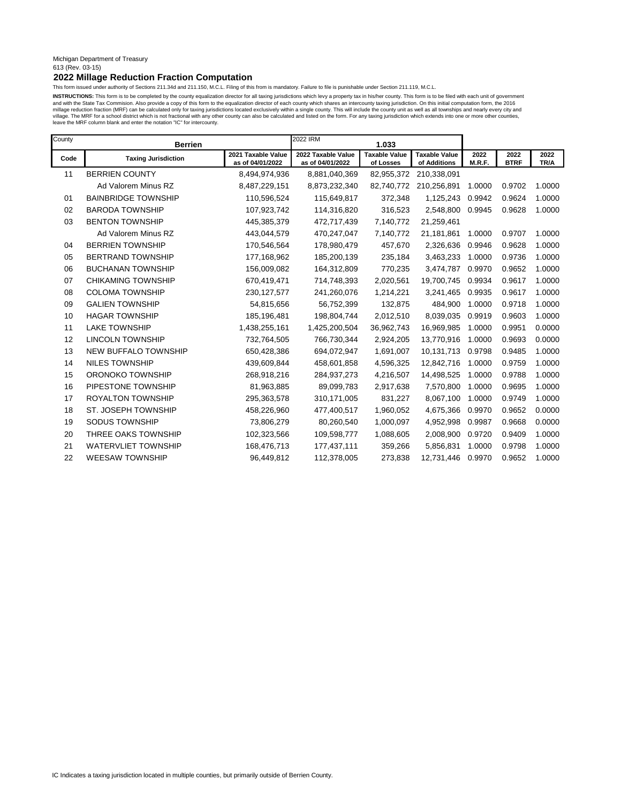#### Michigan Department of Treasury 613 (Rev. 03-15)

# **2022 Millage Reduction Fraction Computation**

This form issued under authority of Sections 211.34d and 211.150, M.C.L. Filing of this from is mandatory. Failure to file is punishable under Section 211.119, M.C.L.

INSTRUCTIONS: This form is to be completed by the county equalization director for all taxing jurisdictions which levy a property tax in his/her county. This form is to be filed with each unit of government and with the State Tax Commision. Also provide a copy of this form to the equalization director of each county which shares an intercounty taxing jurisdiction. On this initial computation form, the 2016<br>millage reduction f leave the MRF column blank and enter the notation "IC" for intercounty.

| County | <b>Berrien</b>             | 2022 IRM                               | 1.033                                  |                                   |                                      |                |                     |              |
|--------|----------------------------|----------------------------------------|----------------------------------------|-----------------------------------|--------------------------------------|----------------|---------------------|--------------|
| Code   | <b>Taxing Jurisdiction</b> | 2021 Taxable Value<br>as of 04/01/2022 | 2022 Taxable Value<br>as of 04/01/2022 | <b>Taxable Value</b><br>of Losses | <b>Taxable Value</b><br>of Additions | 2022<br>M.R.F. | 2022<br><b>BTRF</b> | 2022<br>TR/A |
| 11     | <b>BERRIEN COUNTY</b>      | 8,494,974,936                          | 8,881,040,369                          | 82,955,372                        | 210,338,091                          |                |                     |              |
|        | Ad Valorem Minus RZ        | 8,487,229,151                          | 8,873,232,340                          | 82,740,772                        | 210,256,891                          | 1.0000         | 0.9702              | 1.0000       |
| 01     | <b>BAINBRIDGE TOWNSHIP</b> | 110,596,524                            | 115,649,817                            | 372,348                           | 1,125,243                            | 0.9942         | 0.9624              | 1.0000       |
| 02     | <b>BARODA TOWNSHIP</b>     | 107,923,742                            | 114,316,820                            | 316,523                           | 2,548,800                            | 0.9945         | 0.9628              | 1.0000       |
| 03     | <b>BENTON TOWNSHIP</b>     | 445,385,379                            | 472,717,439                            | 7,140,772                         | 21,259,461                           |                |                     |              |
|        | Ad Valorem Minus RZ        | 443,044,579                            | 470,247,047                            | 7,140,772                         | 21,181,861                           | 1.0000         | 0.9707              | 1.0000       |
| 04     | <b>BERRIEN TOWNSHIP</b>    | 170,546,564                            | 178,980,479                            | 457,670                           | 2,326,636                            | 0.9946         | 0.9628              | 1.0000       |
| 05     | <b>BERTRAND TOWNSHIP</b>   | 177,168,962                            | 185,200,139                            | 235,184                           | 3,463,233                            | 1.0000         | 0.9736              | 1.0000       |
| 06     | <b>BUCHANAN TOWNSHIP</b>   | 156,009,082                            | 164,312,809                            | 770,235                           | 3,474,787                            | 0.9970         | 0.9652              | 1.0000       |
| 07     | <b>CHIKAMING TOWNSHIP</b>  | 670,419,471                            | 714,748,393                            | 2,020,561                         | 19,700,745                           | 0.9934         | 0.9617              | 1.0000       |
| 08     | <b>COLOMA TOWNSHIP</b>     | 230, 127, 577                          | 241,260,076                            | 1,214,221                         | 3,241,465                            | 0.9935         | 0.9617              | 1.0000       |
| 09     | <b>GALIEN TOWNSHIP</b>     | 54,815,656                             | 56,752,399                             | 132,875                           | 484,900                              | 1.0000         | 0.9718              | 1.0000       |
| 10     | <b>HAGAR TOWNSHIP</b>      | 185,196,481                            | 198,804,744                            | 2,012,510                         | 8,039,035                            | 0.9919         | 0.9603              | 1.0000       |
| 11     | <b>LAKE TOWNSHIP</b>       | 1,438,255,161                          | 1,425,200,504                          | 36,962,743                        | 16,969,985                           | 1.0000         | 0.9951              | 0.0000       |
| 12     | <b>LINCOLN TOWNSHIP</b>    | 732,764,505                            | 766,730,344                            | 2,924,205                         | 13,770,916                           | 1.0000         | 0.9693              | 0.0000       |
| 13     | NEW BUFFALO TOWNSHIP       | 650,428,386                            | 694,072,947                            | 1,691,007                         | 10,131,713                           | 0.9798         | 0.9485              | 1.0000       |
| 14     | <b>NILES TOWNSHIP</b>      | 439,609,844                            | 458,601,858                            | 4,596,325                         | 12,842,716                           | 1.0000         | 0.9759              | 1.0000       |
| 15     | ORONOKO TOWNSHIP           | 268,918,216                            | 284,937,273                            | 4,216,507                         | 14,498,525                           | 1.0000         | 0.9788              | 1.0000       |
| 16     | PIPESTONE TOWNSHIP         | 81,963,885                             | 89,099,783                             | 2,917,638                         | 7,570,800                            | 1.0000         | 0.9695              | 1.0000       |
| 17     | <b>ROYALTON TOWNSHIP</b>   | 295,363,578                            | 310,171,005                            | 831,227                           | 8,067,100                            | 1.0000         | 0.9749              | 1.0000       |
| 18     | ST. JOSEPH TOWNSHIP        | 458,226,960                            | 477,400,517                            | 1,960,052                         | 4,675,366                            | 0.9970         | 0.9652              | 0.0000       |
| 19     | SODUS TOWNSHIP             | 73,806,279                             | 80,260,540                             | 1,000,097                         | 4,952,998                            | 0.9987         | 0.9668              | 0.0000       |
| 20     | THREE OAKS TOWNSHIP        | 102,323,566                            | 109,598,777                            | 1,088,605                         | 2,008,900                            | 0.9720         | 0.9409              | 1.0000       |
| 21     | <b>WATERVLIET TOWNSHIP</b> | 168,476,713                            | 177,437,111                            | 359,266                           | 5,856,831                            | 1.0000         | 0.9798              | 1.0000       |
| 22     | <b>WEESAW TOWNSHIP</b>     | 96,449,812                             | 112,378,005                            | 273,838                           | 12,731,446                           | 0.9970         | 0.9652              | 1.0000       |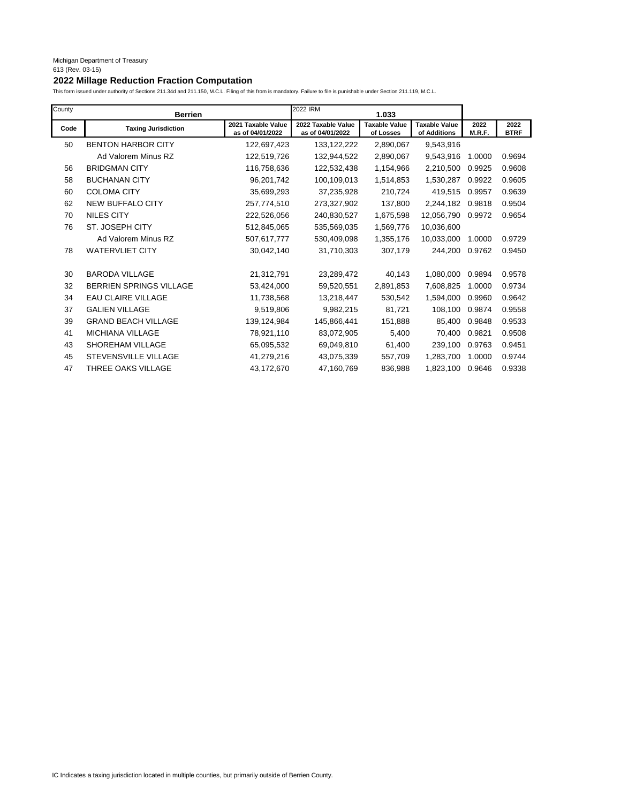# **2022 Millage Reduction Fraction Computation**

| County | <b>Berrien</b>                 |                                        | 2022 IRM                               | 1.033                             |                                      |                |                     |
|--------|--------------------------------|----------------------------------------|----------------------------------------|-----------------------------------|--------------------------------------|----------------|---------------------|
| Code   | <b>Taxing Jurisdiction</b>     | 2021 Taxable Value<br>as of 04/01/2022 | 2022 Taxable Value<br>as of 04/01/2022 | <b>Taxable Value</b><br>of Losses | <b>Taxable Value</b><br>of Additions | 2022<br>M.R.F. | 2022<br><b>BTRF</b> |
| 50     | <b>BENTON HARBOR CITY</b>      | 122,697,423                            | 133, 122, 222                          | 2,890,067                         | 9,543,916                            |                |                     |
|        | Ad Valorem Minus RZ            | 122,519,726                            | 132,944,522                            | 2,890,067                         | 9,543,916                            | 1.0000         | 0.9694              |
| 56     | <b>BRIDGMAN CITY</b>           | 116,758,636                            | 122,532,438                            | 1,154,966                         | 2,210,500                            | 0.9925         | 0.9608              |
| 58     | <b>BUCHANAN CITY</b>           | 96,201,742                             | 100,109,013                            | 1,514,853                         | 1,530,287                            | 0.9922         | 0.9605              |
| 60     | <b>COLOMA CITY</b>             | 35,699,293                             | 37,235,928                             | 210,724                           | 419,515                              | 0.9957         | 0.9639              |
| 62     | <b>NEW BUFFALO CITY</b>        | 257,774,510                            | 273,327,902                            | 137,800                           | 2,244,182                            | 0.9818         | 0.9504              |
| 70     | <b>NILES CITY</b>              | 222,526,056                            | 240,830,527                            | 1,675,598                         | 12,056,790                           | 0.9972         | 0.9654              |
| 76     | ST. JOSEPH CITY                | 512,845,065                            | 535,569,035                            | 1,569,776                         | 10,036,600                           |                |                     |
|        | Ad Valorem Minus RZ            | 507,617,777                            | 530,409,098                            | 1,355,176                         | 10,033,000                           | 1.0000         | 0.9729              |
| 78     | <b>WATERVLIET CITY</b>         | 30,042,140                             | 31,710,303                             | 307,179                           | 244,200                              | 0.9762         | 0.9450              |
| 30     | <b>BARODA VILLAGE</b>          | 21,312,791                             | 23,289,472                             | 40,143                            | 1,080,000                            | 0.9894         | 0.9578              |
| 32     | <b>BERRIEN SPRINGS VILLAGE</b> | 53,424,000                             | 59,520,551                             | 2,891,853                         | 7,608,825                            | 1.0000         | 0.9734              |
| 34     | EAU CLAIRE VILLAGE             | 11,738,568                             | 13,218,447                             | 530,542                           | 1,594,000                            | 0.9960         | 0.9642              |
| 37     | <b>GALIEN VILLAGE</b>          | 9,519,806                              | 9,982,215                              | 81,721                            | 108,100                              | 0.9874         | 0.9558              |
| 39     | <b>GRAND BEACH VILLAGE</b>     | 139,124,984                            | 145,866,441                            | 151,888                           | 85,400                               | 0.9848         | 0.9533              |
| 41     | <b>MICHIANA VILLAGE</b>        | 78,921,110                             | 83,072,905                             | 5,400                             | 70,400                               | 0.9821         | 0.9508              |
| 43     | <b>SHOREHAM VILLAGE</b>        | 65,095,532                             | 69,049,810                             | 61,400                            | 239.100                              | 0.9763         | 0.9451              |
| 45     | <b>STEVENSVILLE VILLAGE</b>    | 41,279,216                             | 43,075,339                             | 557,709                           | 1,283,700                            | 1.0000         | 0.9744              |
| 47     | THREE OAKS VILLAGE             | 43,172,670                             | 47,160,769                             | 836,988                           | 1,823,100                            | 0.9646         | 0.9338              |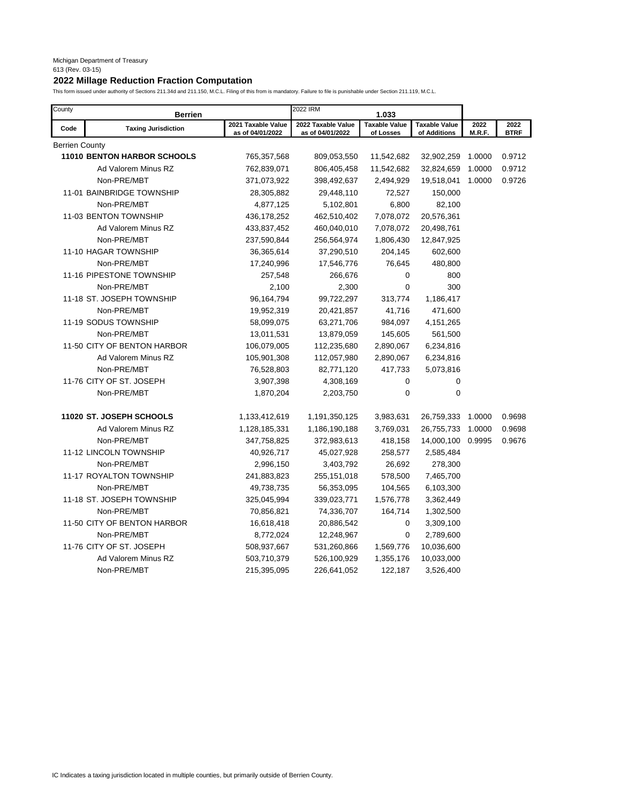# **2022 Millage Reduction Fraction Computation**

| County         | <b>Berrien</b>                     |                                        | 2022 IRM                               | 1.033                             |                                      |                |                     |
|----------------|------------------------------------|----------------------------------------|----------------------------------------|-----------------------------------|--------------------------------------|----------------|---------------------|
| Code           | <b>Taxing Jurisdiction</b>         | 2021 Taxable Value<br>as of 04/01/2022 | 2022 Taxable Value<br>as of 04/01/2022 | <b>Taxable Value</b><br>of Losses | <b>Taxable Value</b><br>of Additions | 2022<br>M.R.F. | 2022<br><b>BTRF</b> |
| Berrien County |                                    |                                        |                                        |                                   |                                      |                |                     |
|                | <b>11010 BENTON HARBOR SCHOOLS</b> | 765,357,568                            | 809,053,550                            | 11,542,682                        | 32,902,259                           | 1.0000         | 0.9712              |
|                | Ad Valorem Minus RZ                | 762,839,071                            | 806,405,458                            | 11,542,682                        | 32,824,659                           | 1.0000         | 0.9712              |
|                | Non-PRE/MBT                        | 371,073,922                            | 398,492,637                            | 2,494,929                         | 19,518,041                           | 1.0000         | 0.9726              |
|                | 11-01 BAINBRIDGE TOWNSHIP          | 28,305,882                             | 29,448,110                             | 72,527                            | 150,000                              |                |                     |
|                | Non-PRE/MBT                        | 4,877,125                              | 5,102,801                              | 6,800                             | 82,100                               |                |                     |
|                | 11-03 BENTON TOWNSHIP              | 436,178,252                            | 462,510,402                            | 7,078,072                         | 20,576,361                           |                |                     |
|                | Ad Valorem Minus RZ                | 433,837,452                            | 460,040,010                            | 7,078,072                         | 20,498,761                           |                |                     |
|                | Non-PRE/MBT                        | 237,590,844                            | 256,564,974                            | 1,806,430                         | 12,847,925                           |                |                     |
|                | 11-10 HAGAR TOWNSHIP               | 36,365,614                             | 37,290,510                             | 204,145                           | 602,600                              |                |                     |
|                | Non-PRE/MBT                        | 17,240,996                             | 17,546,776                             | 76,645                            | 480,800                              |                |                     |
|                | 11-16 PIPESTONE TOWNSHIP           | 257,548                                | 266,676                                | 0                                 | 800                                  |                |                     |
|                | Non-PRE/MBT                        | 2,100                                  | 2,300                                  | 0                                 | 300                                  |                |                     |
|                | 11-18 ST. JOSEPH TOWNSHIP          | 96,164,794                             | 99,722,297                             | 313,774                           | 1,186,417                            |                |                     |
|                | Non-PRE/MBT                        | 19,952,319                             | 20,421,857                             | 41,716                            | 471,600                              |                |                     |
|                | 11-19 SODUS TOWNSHIP               | 58,099,075                             | 63,271,706                             | 984,097                           | 4,151,265                            |                |                     |
|                | Non-PRE/MBT                        | 13,011,531                             | 13,879,059                             | 145,605                           | 561,500                              |                |                     |
|                | 11-50 CITY OF BENTON HARBOR        | 106,079,005                            | 112,235,680                            | 2,890,067                         | 6,234,816                            |                |                     |
|                | Ad Valorem Minus RZ                | 105,901,308                            | 112,057,980                            | 2,890,067                         | 6,234,816                            |                |                     |
|                | Non-PRE/MBT                        | 76,528,803                             | 82,771,120                             | 417,733                           | 5,073,816                            |                |                     |
|                | 11-76 CITY OF ST. JOSEPH           | 3,907,398                              | 4,308,169                              | 0                                 | 0                                    |                |                     |
|                | Non-PRE/MBT                        | 1,870,204                              | 2,203,750                              | 0                                 | $\mathbf 0$                          |                |                     |
|                | 11020 ST. JOSEPH SCHOOLS           | 1,133,412,619                          | 1,191,350,125                          | 3,983,631                         | 26,759,333                           | 1.0000         | 0.9698              |
|                | Ad Valorem Minus RZ                | 1,128,185,331                          | 1,186,190,188                          | 3,769,031                         | 26,755,733                           | 1.0000         | 0.9698              |
|                | Non-PRE/MBT                        | 347,758,825                            | 372,983,613                            | 418,158                           | 14,000,100                           | 0.9995         | 0.9676              |
|                | 11-12 LINCOLN TOWNSHIP             | 40,926,717                             | 45,027,928                             | 258,577                           | 2,585,484                            |                |                     |
|                | Non-PRE/MBT                        | 2,996,150                              | 3,403,792                              | 26,692                            | 278,300                              |                |                     |
|                | 11-17 ROYALTON TOWNSHIP            | 241,883,823                            | 255,151,018                            | 578,500                           | 7,465,700                            |                |                     |
|                | Non-PRE/MBT                        | 49,738,735                             | 56,353,095                             | 104,565                           | 6,103,300                            |                |                     |
|                | 11-18 ST. JOSEPH TOWNSHIP          | 325,045,994                            | 339,023,771                            | 1,576,778                         | 3,362,449                            |                |                     |
|                | Non-PRE/MBT                        | 70,856,821                             | 74,336,707                             | 164,714                           | 1,302,500                            |                |                     |
|                | 11-50 CITY OF BENTON HARBOR        | 16,618,418                             | 20,886,542                             | 0                                 | 3,309,100                            |                |                     |
|                | Non-PRE/MBT                        | 8,772,024                              | 12,248,967                             | 0                                 | 2,789,600                            |                |                     |
|                | 11-76 CITY OF ST. JOSEPH           | 508,937,667                            | 531,260,866                            | 1,569,776                         | 10,036,600                           |                |                     |
|                | Ad Valorem Minus RZ                | 503,710,379                            | 526,100,929                            | 1,355,176                         | 10,033,000                           |                |                     |
|                | Non-PRE/MBT                        | 215,395,095                            | 226,641,052                            | 122,187                           | 3,526,400                            |                |                     |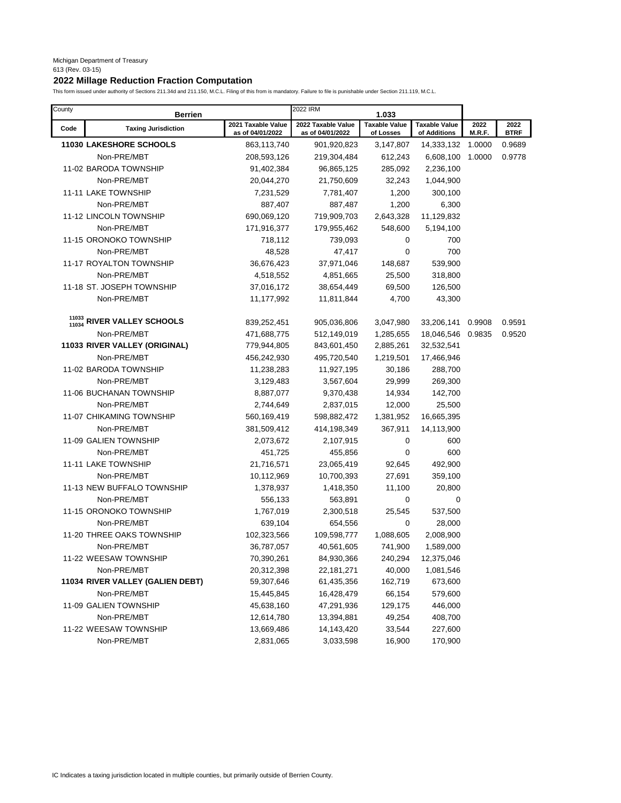# **2022 Millage Reduction Fraction Computation**

| County | <b>Berrien</b>                   |                                        | 2022 IRM                               | 1.033                             |                                      |                |                     |
|--------|----------------------------------|----------------------------------------|----------------------------------------|-----------------------------------|--------------------------------------|----------------|---------------------|
| Code   | <b>Taxing Jurisdiction</b>       | 2021 Taxable Value<br>as of 04/01/2022 | 2022 Taxable Value<br>as of 04/01/2022 | <b>Taxable Value</b><br>of Losses | <b>Taxable Value</b><br>of Additions | 2022<br>M.R.F. | 2022<br><b>BTRF</b> |
|        | <b>11030 LAKESHORE SCHOOLS</b>   | 863,113,740                            | 901,920,823                            | 3,147,807                         | 14,333,132                           | 1.0000         | 0.9689              |
|        | Non-PRE/MBT                      | 208,593,126                            | 219,304,484                            | 612,243                           | 6,608,100                            | 1.0000         | 0.9778              |
|        | 11-02 BARODA TOWNSHIP            | 91,402,384                             | 96,865,125                             | 285,092                           | 2,236,100                            |                |                     |
|        | Non-PRE/MBT                      | 20,044,270                             | 21,750,609                             | 32,243                            | 1,044,900                            |                |                     |
|        | 11-11 LAKE TOWNSHIP              | 7,231,529                              | 7,781,407                              | 1,200                             | 300,100                              |                |                     |
|        | Non-PRE/MBT                      | 887,407                                | 887,487                                | 1,200                             | 6,300                                |                |                     |
|        | 11-12 LINCOLN TOWNSHIP           | 690,069,120                            | 719,909,703                            | 2,643,328                         | 11,129,832                           |                |                     |
|        | Non-PRE/MBT                      | 171,916,377                            | 179,955,462                            | 548,600                           | 5,194,100                            |                |                     |
|        | 11-15 ORONOKO TOWNSHIP           | 718,112                                | 739,093                                | 0                                 | 700                                  |                |                     |
|        | Non-PRE/MBT                      | 48,528                                 | 47,417                                 | $\overline{0}$                    | 700                                  |                |                     |
|        | 11-17 ROYALTON TOWNSHIP          | 36,676,423                             | 37,971,046                             | 148,687                           | 539,900                              |                |                     |
|        | Non-PRE/MBT                      | 4,518,552                              | 4,851,665                              | 25,500                            | 318,800                              |                |                     |
|        | 11-18 ST. JOSEPH TOWNSHIP        | 37,016,172                             | 38,654,449                             | 69,500                            | 126,500                              |                |                     |
|        | Non-PRE/MBT                      | 11,177,992                             | 11,811,844                             | 4,700                             | 43,300                               |                |                     |
|        |                                  |                                        |                                        |                                   |                                      |                |                     |
| 11034  | RIVER VALLEY SCHOOLS             | 839,252,451                            | 905,036,806                            | 3,047,980                         | 33,206,141                           | 0.9908         | 0.9591              |
|        | Non-PRE/MBT                      | 471,688,775                            | 512,149,019                            | 1,285,655                         | 18,046,546                           | 0.9835         | 0.9520              |
|        | 11033 RIVER VALLEY (ORIGINAL)    | 779,944,805                            | 843,601,450                            | 2,885,261                         | 32,532,541                           |                |                     |
|        | Non-PRE/MBT                      | 456,242,930                            | 495,720,540                            | 1,219,501                         | 17,466,946                           |                |                     |
|        | 11-02 BARODA TOWNSHIP            | 11,238,283                             | 11,927,195                             | 30,186                            | 288,700                              |                |                     |
|        | Non-PRE/MBT                      | 3,129,483                              | 3,567,604                              | 29,999                            | 269,300                              |                |                     |
|        | 11-06 BUCHANAN TOWNSHIP          | 8,887,077                              | 9,370,438                              | 14,934                            | 142,700                              |                |                     |
|        | Non-PRE/MBT                      | 2,744,649                              | 2,837,015                              | 12,000                            | 25,500                               |                |                     |
|        | 11-07 CHIKAMING TOWNSHIP         | 560,169,419                            | 598,882,472                            | 1,381,952                         | 16,665,395                           |                |                     |
|        | Non-PRE/MBT                      | 381,509,412                            | 414,198,349                            | 367,911                           | 14,113,900                           |                |                     |
|        | 11-09 GALIEN TOWNSHIP            | 2,073,672                              | 2,107,915                              | 0                                 | 600                                  |                |                     |
|        | Non-PRE/MBT                      | 451,725                                | 455,856                                | 0                                 | 600                                  |                |                     |
|        | 11-11 LAKE TOWNSHIP              | 21,716,571                             | 23,065,419                             | 92,645                            | 492,900                              |                |                     |
|        | Non-PRE/MBT                      | 10,112,969                             | 10,700,393                             | 27,691                            | 359,100                              |                |                     |
|        | 11-13 NEW BUFFALO TOWNSHIP       | 1,378,937                              | 1,418,350                              | 11,100                            | 20,800                               |                |                     |
|        | Non-PRE/MBT                      | 556,133                                | 563,891                                | 0                                 | 0                                    |                |                     |
|        | 11-15 ORONOKO TOWNSHIP           | 1,767,019                              | 2,300,518                              | 25,545                            | 537,500                              |                |                     |
|        | Non-PRE/MBT                      | 639,104                                | 654,556                                | 0                                 | 28,000                               |                |                     |
|        | 11-20 THREE OAKS TOWNSHIP        | 102,323,566                            | 109,598,777                            | 1,088,605                         | 2,008,900                            |                |                     |
|        | Non-PRE/MBT                      | 36,787,057                             | 40,561,605                             | 741,900                           | 1,589,000                            |                |                     |
|        | 11-22 WEESAW TOWNSHIP            | 70,390,261                             | 84,930,366                             | 240,294                           | 12,375,046                           |                |                     |
|        | Non-PRE/MBT                      | 20,312,398                             | 22, 181, 271                           | 40,000                            | 1,081,546                            |                |                     |
|        | 11034 RIVER VALLEY (GALIEN DEBT) | 59,307,646                             | 61,435,356                             | 162,719                           | 673,600                              |                |                     |
|        | Non-PRE/MBT                      | 15,445,845                             | 16,428,479                             | 66,154                            | 579,600                              |                |                     |
|        | 11-09 GALIEN TOWNSHIP            | 45,638,160                             | 47,291,936                             | 129,175                           | 446,000                              |                |                     |
|        | Non-PRE/MBT                      | 12,614,780                             | 13,394,881                             | 49,254                            | 408,700                              |                |                     |
|        | 11-22 WEESAW TOWNSHIP            | 13,669,486                             | 14,143,420                             | 33,544                            | 227,600                              |                |                     |
|        | Non-PRE/MBT                      | 2,831,065                              | 3,033,598                              | 16,900                            | 170,900                              |                |                     |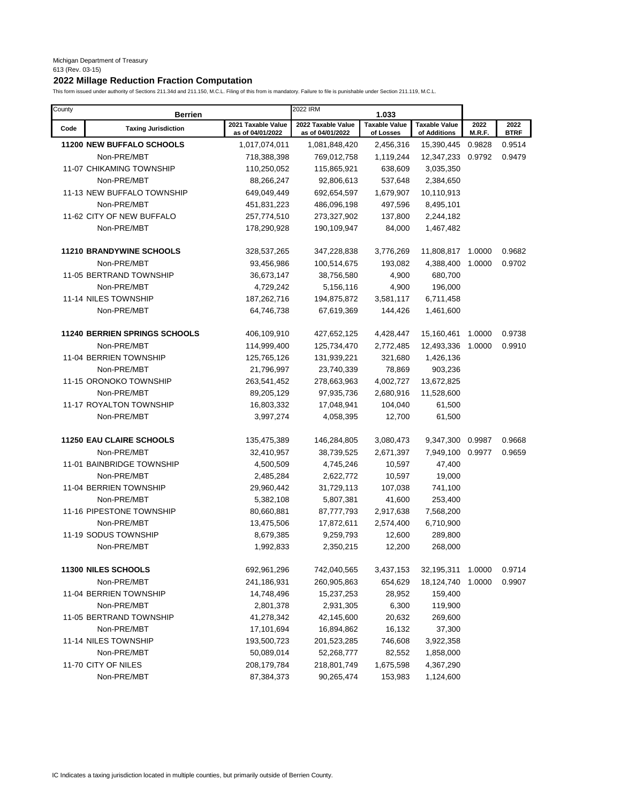# **2022 Millage Reduction Fraction Computation**

| County | <b>Berrien</b>                       |                                        | 2022 IRM                               | 1.033                             |                                      |                |                     |
|--------|--------------------------------------|----------------------------------------|----------------------------------------|-----------------------------------|--------------------------------------|----------------|---------------------|
| Code   | <b>Taxing Jurisdiction</b>           | 2021 Taxable Value<br>as of 04/01/2022 | 2022 Taxable Value<br>as of 04/01/2022 | <b>Taxable Value</b><br>of Losses | <b>Taxable Value</b><br>of Additions | 2022<br>M.R.F. | 2022<br><b>BTRF</b> |
|        | <b>11200 NEW BUFFALO SCHOOLS</b>     | 1,017,074,011                          | 1,081,848,420                          | 2,456,316                         | 15,390,445                           | 0.9828         | 0.9514              |
|        | Non-PRE/MBT                          | 718,388,398                            | 769,012,758                            | 1,119,244                         | 12,347,233                           | 0.9792         | 0.9479              |
|        | 11-07 CHIKAMING TOWNSHIP             | 110,250,052                            | 115,865,921                            | 638,609                           | 3,035,350                            |                |                     |
|        | Non-PRE/MBT                          | 88,266,247                             | 92,806,613                             | 537,648                           | 2,384,650                            |                |                     |
|        | 11-13 NEW BUFFALO TOWNSHIP           | 649,049,449                            | 692,654,597                            | 1,679,907                         | 10,110,913                           |                |                     |
|        | Non-PRE/MBT                          | 451,831,223                            | 486,096,198                            | 497,596                           | 8,495,101                            |                |                     |
|        | 11-62 CITY OF NEW BUFFALO            | 257,774,510                            | 273,327,902                            | 137,800                           | 2,244,182                            |                |                     |
|        | Non-PRE/MBT                          | 178,290,928                            | 190,109,947                            | 84,000                            | 1,467,482                            |                |                     |
|        | <b>11210 BRANDYWINE SCHOOLS</b>      | 328,537,265                            | 347,228,838                            | 3,776,269                         | 11,808,817                           | 1.0000         | 0.9682              |
|        | Non-PRE/MBT                          | 93,456,986                             | 100,514,675                            | 193,082                           | 4,388,400                            | 1.0000         | 0.9702              |
|        | 11-05 BERTRAND TOWNSHIP              | 36,673,147                             | 38,756,580                             | 4,900                             | 680,700                              |                |                     |
|        | Non-PRE/MBT                          | 4,729,242                              | 5,156,116                              | 4,900                             | 196,000                              |                |                     |
|        | 11-14 NILES TOWNSHIP                 | 187,262,716                            | 194,875,872                            | 3,581,117                         | 6,711,458                            |                |                     |
|        | Non-PRE/MBT                          | 64,746,738                             | 67,619,369                             | 144,426                           | 1,461,600                            |                |                     |
|        |                                      |                                        |                                        |                                   |                                      |                |                     |
|        | <b>11240 BERRIEN SPRINGS SCHOOLS</b> | 406,109,910                            | 427,652,125                            | 4,428,447                         | 15,160,461                           | 1.0000         | 0.9738              |
|        | Non-PRE/MBT                          | 114,999,400                            | 125,734,470                            | 2,772,485                         | 12,493,336                           | 1.0000         | 0.9910              |
|        | 11-04 BERRIEN TOWNSHIP               | 125,765,126                            | 131,939,221                            | 321,680                           | 1,426,136                            |                |                     |
|        | Non-PRE/MBT                          | 21,796,997                             | 23,740,339                             | 78,869                            | 903,236                              |                |                     |
|        | 11-15 ORONOKO TOWNSHIP               | 263,541,452                            | 278,663,963                            | 4,002,727                         | 13,672,825                           |                |                     |
|        | Non-PRE/MBT                          | 89,205,129                             | 97,935,736                             | 2,680,916                         | 11,528,600                           |                |                     |
|        | 11-17 ROYALTON TOWNSHIP              | 16,803,332                             | 17,048,941                             | 104,040                           | 61,500                               |                |                     |
|        | Non-PRE/MBT                          | 3,997,274                              | 4,058,395                              | 12,700                            | 61,500                               |                |                     |
|        | <b>11250 EAU CLAIRE SCHOOLS</b>      | 135,475,389                            | 146,284,805                            | 3,080,473                         | 9,347,300 0.9987                     |                | 0.9668              |
|        | Non-PRE/MBT                          | 32,410,957                             | 38,739,525                             | 2,671,397                         | 7,949,100                            | 0.9977         | 0.9659              |
|        | 11-01 BAINBRIDGE TOWNSHIP            | 4,500,509                              | 4,745,246                              | 10,597                            | 47,400                               |                |                     |
|        | Non-PRE/MBT                          | 2,485,284                              | 2,622,772                              | 10,597                            | 19,000                               |                |                     |
|        | 11-04 BERRIEN TOWNSHIP               | 29,960,442                             | 31,729,113                             | 107,038                           | 741,100                              |                |                     |
|        | Non-PRE/MBT                          | 5,382,108                              | 5,807,381                              | 41,600                            | 253,400                              |                |                     |
|        | 11-16 PIPESTONE TOWNSHIP             | 80,660,881                             | 87,777,793                             | 2,917,638                         | 7,568,200                            |                |                     |
|        | Non-PRE/MBT                          | 13,475,506                             | 17,872,611                             | 2,574,400                         | 6,710,900                            |                |                     |
|        | 11-19 SODUS TOWNSHIP                 | 8,679,385                              | 9,259,793                              | 12,600                            | 289,800                              |                |                     |
|        | Non-PRE/MBT                          | 1,992,833                              | 2,350,215                              | 12,200                            | 268,000                              |                |                     |
|        |                                      |                                        |                                        |                                   |                                      |                |                     |
|        | 11300 NILES SCHOOLS                  | 692,961,296                            | 742,040,565                            | 3,437,153                         | 32,195,311                           | 1.0000         | 0.9714              |
|        | Non-PRE/MBT                          | 241,186,931                            | 260,905,863                            | 654,629                           | 18,124,740                           | 1.0000         | 0.9907              |
|        | 11-04 BERRIEN TOWNSHIP               | 14,748,496                             | 15,237,253                             | 28,952                            | 159,400                              |                |                     |
|        | Non-PRE/MBT                          | 2,801,378                              | 2,931,305                              | 6,300                             | 119,900                              |                |                     |
|        | 11-05 BERTRAND TOWNSHIP              | 41,278,342                             | 42,145,600                             | 20,632                            | 269,600                              |                |                     |
|        | Non-PRE/MBT                          | 17,101,694                             | 16,894,862                             | 16,132                            | 37,300                               |                |                     |
|        | 11-14 NILES TOWNSHIP                 | 193,500,723                            | 201,523,285                            | 746,608                           | 3,922,358                            |                |                     |
|        | Non-PRE/MBT                          | 50,089,014                             | 52,268,777                             | 82,552                            | 1,858,000                            |                |                     |
|        | 11-70 CITY OF NILES                  | 208,179,784                            | 218,801,749                            | 1,675,598                         | 4,367,290                            |                |                     |
|        | Non-PRE/MBT                          | 87,384,373                             | 90,265,474                             | 153,983                           | 1,124,600                            |                |                     |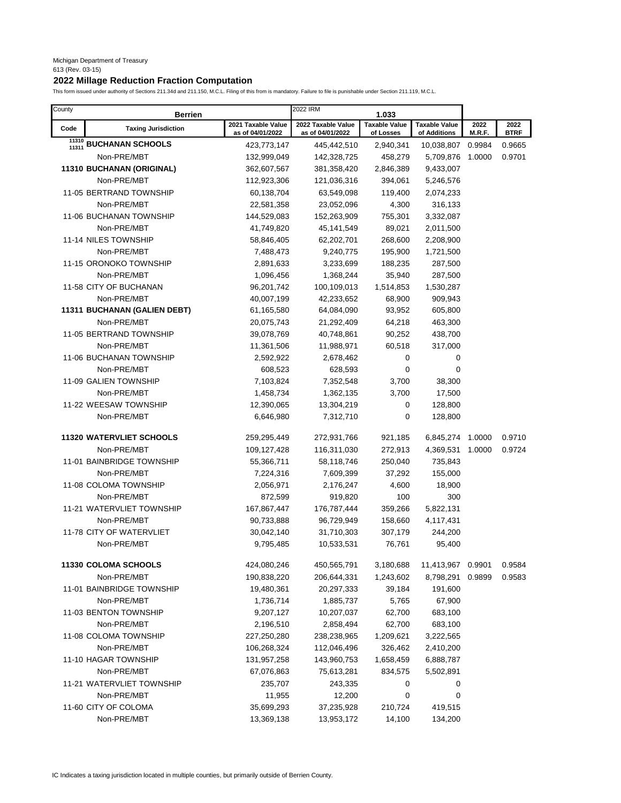# **2022 Millage Reduction Fraction Computation**

| County | <b>Berrien</b>                  |                                        | 2022 IRM                        | 1.033                  |                                      |                |                     |
|--------|---------------------------------|----------------------------------------|---------------------------------|------------------------|--------------------------------------|----------------|---------------------|
| Code   | <b>Taxing Jurisdiction</b>      | 2021 Taxable Value<br>as of 04/01/2022 | 2022 Taxable Value              | <b>Taxable Value</b>   | <b>Taxable Value</b><br>of Additions | 2022<br>M.R.F. | 2022<br><b>BTRF</b> |
|        | 11310 BUCHANAN SCHOOLS          | 423,773,147                            | as of 04/01/2022<br>445,442,510 | of Losses<br>2,940,341 | 10,038,807                           | 0.9984         | 0.9665              |
|        | Non-PRE/MBT                     | 132,999,049                            | 142,328,725                     | 458,279                | 5,709,876                            | 1.0000         | 0.9701              |
|        | 11310 BUCHANAN (ORIGINAL)       | 362,607,567                            | 381,358,420                     | 2,846,389              | 9,433,007                            |                |                     |
|        | Non-PRE/MBT                     | 112,923,306                            | 121,036,316                     | 394,061                | 5,246,576                            |                |                     |
|        | 11-05 BERTRAND TOWNSHIP         | 60,138,704                             | 63,549,098                      | 119,400                | 2,074,233                            |                |                     |
|        | Non-PRE/MBT                     | 22,581,358                             | 23,052,096                      | 4,300                  | 316,133                              |                |                     |
|        | 11-06 BUCHANAN TOWNSHIP         | 144,529,083                            | 152,263,909                     | 755,301                | 3,332,087                            |                |                     |
|        | Non-PRE/MBT                     |                                        |                                 |                        |                                      |                |                     |
|        | 11-14 NILES TOWNSHIP            | 41,749,820                             | 45,141,549                      | 89,021                 | 2,011,500                            |                |                     |
|        |                                 | 58,846,405                             | 62,202,701                      | 268,600                | 2,208,900                            |                |                     |
|        | Non-PRE/MBT                     | 7,488,473                              | 9,240,775                       | 195,900                | 1,721,500                            |                |                     |
|        | 11-15 ORONOKO TOWNSHIP          | 2,891,633                              | 3,233,699                       | 188,235                | 287,500                              |                |                     |
|        | Non-PRE/MBT                     | 1,096,456                              | 1,368,244                       | 35,940                 | 287,500                              |                |                     |
|        | 11-58 CITY OF BUCHANAN          | 96,201,742                             | 100,109,013                     | 1,514,853              | 1,530,287                            |                |                     |
|        | Non-PRE/MBT                     | 40,007,199                             | 42,233,652                      | 68,900                 | 909,943                              |                |                     |
|        | 11311 BUCHANAN (GALIEN DEBT)    | 61,165,580                             | 64,084,090                      | 93,952                 | 605,800                              |                |                     |
|        | Non-PRE/MBT                     | 20,075,743                             | 21,292,409                      | 64,218                 | 463,300                              |                |                     |
|        | 11-05 BERTRAND TOWNSHIP         | 39,078,769                             | 40,748,861                      | 90,252                 | 438,700                              |                |                     |
|        | Non-PRE/MBT                     | 11,361,506                             | 11,988,971                      | 60,518                 | 317,000                              |                |                     |
|        | 11-06 BUCHANAN TOWNSHIP         | 2,592,922                              | 2,678,462                       | 0                      | 0                                    |                |                     |
|        | Non-PRE/MBT                     | 608,523                                | 628,593                         | $\mathbf 0$            | 0                                    |                |                     |
|        | 11-09 GALIEN TOWNSHIP           | 7,103,824                              | 7,352,548                       | 3,700                  | 38,300                               |                |                     |
|        | Non-PRE/MBT                     | 1,458,734                              | 1,362,135                       | 3,700                  | 17,500                               |                |                     |
|        | 11-22 WEESAW TOWNSHIP           | 12,390,065                             | 13,304,219                      | 0                      | 128,800                              |                |                     |
|        | Non-PRE/MBT                     | 6,646,980                              | 7,312,710                       | $\mathbf 0$            | 128,800                              |                |                     |
|        | <b>11320 WATERVLIET SCHOOLS</b> | 259,295,449                            | 272,931,766                     | 921,185                | 6,845,274                            | 1.0000         | 0.9710              |
|        | Non-PRE/MBT                     | 109,127,428                            | 116,311,030                     | 272,913                | 4,369,531                            | 1.0000         | 0.9724              |
|        | 11-01 BAINBRIDGE TOWNSHIP       | 55,366,711                             | 58,118,746                      | 250,040                | 735,843                              |                |                     |
|        | Non-PRE/MBT                     | 7,224,316                              | 7,609,399                       | 37,292                 | 155,000                              |                |                     |
|        | 11-08 COLOMA TOWNSHIP           | 2,056,971                              | 2,176,247                       | 4,600                  | 18,900                               |                |                     |
|        | Non-PRE/MBT                     | 872,599                                | 919,820                         | 100                    | 300                                  |                |                     |
|        | 11-21 WATERVLIET TOWNSHIP       | 167,867,447                            | 176,787,444                     | 359,266                | 5,822,131                            |                |                     |
|        | Non-PRE/MBT                     | 90,733,888                             | 96,729,949                      | 158,660                | 4,117,431                            |                |                     |
|        | 11-78 CITY OF WATERVLIET        | 30,042,140                             | 31,710,303                      | 307,179                | 244,200                              |                |                     |
|        | Non-PRE/MBT                     | 9,795,485                              | 10,533,531                      | 76,761                 | 95,400                               |                |                     |
|        | <b>11330 COLOMA SCHOOLS</b>     | 424,080,246                            | 450,565,791                     | 3,180,688              | 11,413,967                           | 0.9901         | 0.9584              |
|        |                                 | 190,838,220                            |                                 |                        | 8,798,291                            |                |                     |
|        | Non-PRE/MBT                     |                                        | 206,644,331                     | 1,243,602              |                                      | 0.9899         | 0.9583              |
|        | 11-01 BAINBRIDGE TOWNSHIP       | 19,480,361                             | 20,297,333                      | 39,184                 | 191,600                              |                |                     |
|        | Non-PRE/MBT                     | 1,736,714                              | 1,885,737                       | 5,765                  | 67,900                               |                |                     |
|        | 11-03 BENTON TOWNSHIP           | 9,207,127                              | 10,207,037                      | 62,700                 | 683,100                              |                |                     |
|        | Non-PRE/MBT                     | 2,196,510                              | 2,858,494                       | 62,700                 | 683,100                              |                |                     |
|        | 11-08 COLOMA TOWNSHIP           | 227,250,280                            | 238,238,965                     | 1,209,621              | 3,222,565                            |                |                     |
|        | Non-PRE/MBT                     | 106,268,324                            | 112,046,496                     | 326,462                | 2,410,200                            |                |                     |
|        | 11-10 HAGAR TOWNSHIP            | 131,957,258                            | 143,960,753                     | 1,658,459              | 6,888,787                            |                |                     |
|        | Non-PRE/MBT                     | 67,076,863                             | 75,613,281                      | 834,575                | 5,502,891                            |                |                     |
|        | 11-21 WATERVLIET TOWNSHIP       | 235,707                                | 243,335                         | 0                      | 0                                    |                |                     |
|        | Non-PRE/MBT                     | 11,955                                 | 12,200                          | 0                      | 0                                    |                |                     |
|        | 11-60 CITY OF COLOMA            | 35,699,293                             | 37,235,928                      | 210,724                | 419,515                              |                |                     |
|        | Non-PRE/MBT                     | 13,369,138                             | 13,953,172                      | 14,100                 | 134,200                              |                |                     |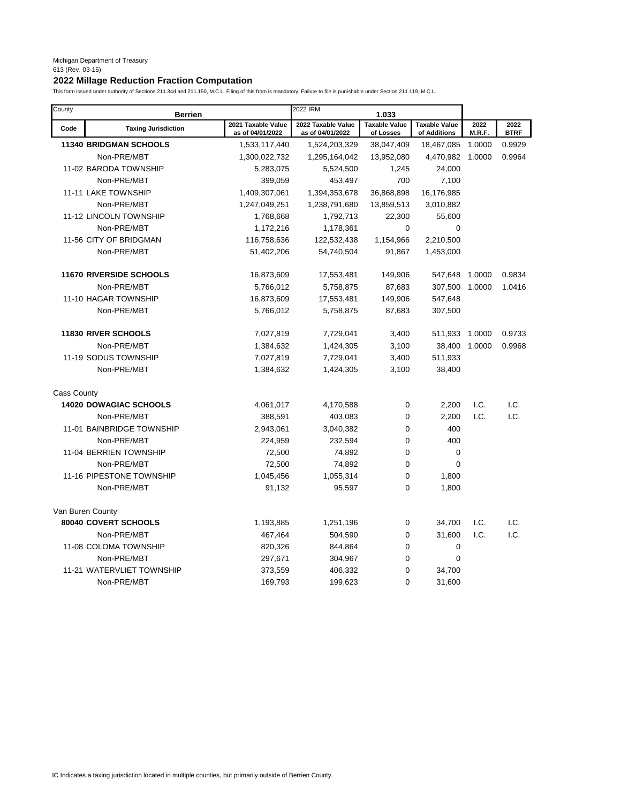# **2022 Millage Reduction Fraction Computation**

| County             | <b>Berrien</b>                 |                                        | 2022 IRM                               | 1.033                             |                                      |                |                     |
|--------------------|--------------------------------|----------------------------------------|----------------------------------------|-----------------------------------|--------------------------------------|----------------|---------------------|
| Code               | <b>Taxing Jurisdiction</b>     | 2021 Taxable Value<br>as of 04/01/2022 | 2022 Taxable Value<br>as of 04/01/2022 | <b>Taxable Value</b><br>of Losses | <b>Taxable Value</b><br>of Additions | 2022<br>M.R.F. | 2022<br><b>BTRF</b> |
|                    | <b>11340 BRIDGMAN SCHOOLS</b>  | 1,533,117,440                          | 1,524,203,329                          | 38,047,409                        | 18,467,085                           | 1.0000         | 0.9929              |
|                    | Non-PRE/MBT                    | 1,300,022,732                          | 1,295,164,042                          | 13,952,080                        | 4,470,982                            | 1.0000         | 0.9964              |
|                    | 11-02 BARODA TOWNSHIP          | 5,283,075                              | 5,524,500                              | 1,245                             | 24,000                               |                |                     |
|                    | Non-PRE/MBT                    | 399,059                                | 453,497                                | 700                               | 7,100                                |                |                     |
|                    | 11-11 LAKE TOWNSHIP            | 1,409,307,061                          | 1,394,353,678                          | 36,868,898                        | 16,176,985                           |                |                     |
|                    | Non-PRE/MBT                    | 1,247,049,251                          | 1,238,791,680                          | 13,859,513                        | 3,010,882                            |                |                     |
|                    | 11-12 LINCOLN TOWNSHIP         | 1,768,668                              | 1,792,713                              | 22,300                            | 55,600                               |                |                     |
|                    | Non-PRE/MBT                    | 1,172,216                              | 1,178,361                              | $\mathbf 0$                       | $\mathbf 0$                          |                |                     |
|                    | 11-56 CITY OF BRIDGMAN         | 116,758,636                            | 122,532,438                            | 1,154,966                         | 2,210,500                            |                |                     |
|                    | Non-PRE/MBT                    | 51,402,206                             | 54,740,504                             | 91,867                            | 1,453,000                            |                |                     |
|                    | <b>11670 RIVERSIDE SCHOOLS</b> | 16,873,609                             | 17,553,481                             | 149,906                           | 547,648                              | 1.0000         | 0.9834              |
|                    | Non-PRE/MBT                    | 5,766,012                              | 5,758,875                              | 87,683                            | 307,500                              | 1.0000         | 1.0416              |
|                    | 11-10 HAGAR TOWNSHIP           | 16,873,609                             | 17,553,481                             | 149,906                           | 547,648                              |                |                     |
|                    | Non-PRE/MBT                    | 5,766,012                              | 5,758,875                              | 87,683                            | 307,500                              |                |                     |
|                    | <b>11830 RIVER SCHOOLS</b>     | 7,027,819                              | 7,729,041                              | 3,400                             | 511,933                              | 1.0000         | 0.9733              |
|                    | Non-PRE/MBT                    | 1,384,632                              | 1,424,305                              | 3,100                             | 38,400                               | 1.0000         | 0.9968              |
|                    | 11-19 SODUS TOWNSHIP           | 7,027,819                              | 7,729,041                              | 3,400                             | 511,933                              |                |                     |
|                    | Non-PRE/MBT                    | 1,384,632                              | 1,424,305                              | 3,100                             | 38,400                               |                |                     |
| <b>Cass County</b> |                                |                                        |                                        |                                   |                                      |                |                     |
|                    | <b>14020 DOWAGIAC SCHOOLS</b>  | 4,061,017                              | 4,170,588                              | $\mathbf 0$                       | 2,200                                | I.C.           | I.C.                |
|                    | Non-PRE/MBT                    | 388,591                                | 403,083                                | 0                                 | 2,200                                | I.C.           | I.C.                |
|                    | 11-01 BAINBRIDGE TOWNSHIP      | 2,943,061                              | 3,040,382                              | 0                                 | 400                                  |                |                     |
|                    | Non-PRE/MBT                    | 224,959                                | 232,594                                | 0                                 | 400                                  |                |                     |
|                    | 11-04 BERRIEN TOWNSHIP         | 72,500                                 | 74,892                                 | 0                                 | $\mathbf 0$                          |                |                     |
|                    | Non-PRE/MBT                    | 72,500                                 | 74,892                                 | 0                                 | 0                                    |                |                     |
|                    | 11-16 PIPESTONE TOWNSHIP       | 1,045,456                              | 1,055,314                              | 0                                 | 1,800                                |                |                     |
|                    | Non-PRE/MBT                    | 91,132                                 | 95,597                                 | 0                                 | 1,800                                |                |                     |
|                    | Van Buren County               |                                        |                                        |                                   |                                      |                |                     |
|                    | 80040 COVERT SCHOOLS           | 1,193,885                              | 1,251,196                              | 0                                 | 34,700                               | I.C.           | I.C.                |
|                    | Non-PRE/MBT                    | 467,464                                | 504,590                                | 0                                 | 31,600                               | I.C.           | I.C.                |
|                    | 11-08 COLOMA TOWNSHIP          | 820,326                                | 844,864                                | 0                                 | $\mathbf 0$                          |                |                     |
|                    | Non-PRE/MBT                    | 297,671                                | 304,967                                | 0                                 | 0                                    |                |                     |
|                    | 11-21 WATERVLIET TOWNSHIP      | 373,559                                | 406,332                                | 0                                 | 34,700                               |                |                     |
|                    | Non-PRE/MBT                    | 169,793                                | 199,623                                | 0                                 | 31,600                               |                |                     |